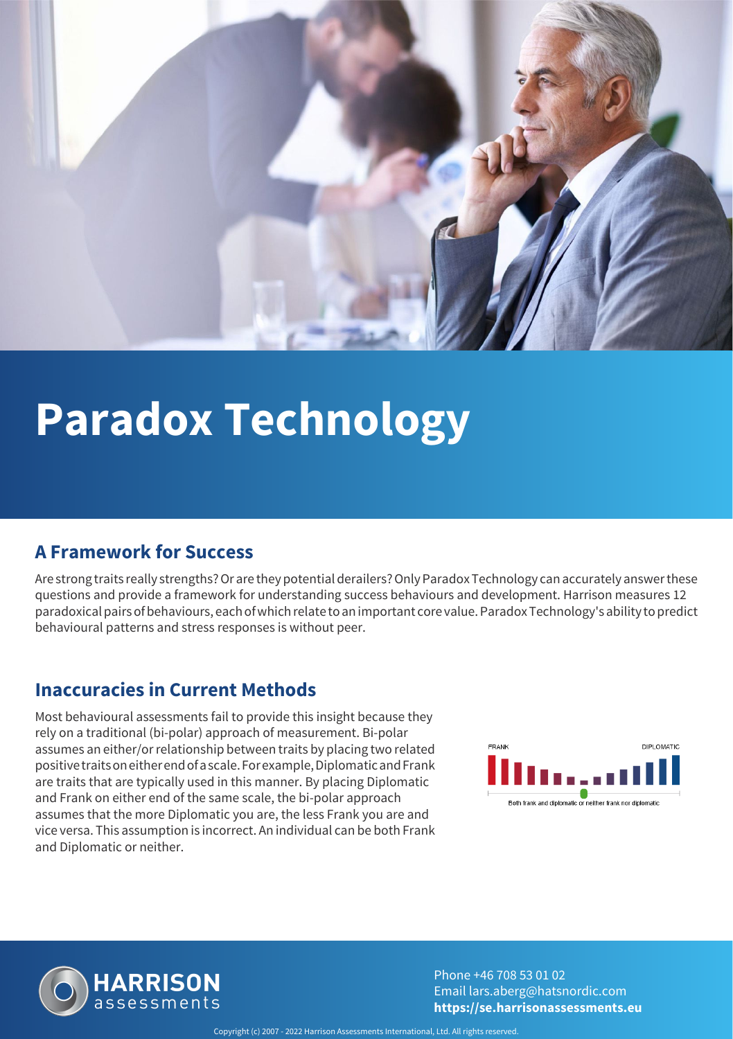

# **Paradox Technology**

### **A Framework for Success**

Are strong traits really strengths? Or are they potential derailers? Only Paradox Technology can accurately answer these questions and provide a framework for understanding success behaviours and development. Harrison measures 12 paradoxical pairs of behaviours, each of which relate to an important core value. Paradox Technology's ability to predict behavioural patterns and stress responses is without peer.

#### **Inaccuracies in Current Methods**

Most behavioural assessments fail to provide this insight because they rely on a traditional (bi-polar) approach of measurement. Bi-polar assumes an either/or relationship between traits by placing two related positive traits on either end of a scale. For example, Diplomatic and Frank are traits that are typically used in this manner. By placing Diplomatic and Frank on either end of the same scale, the bi-polar approach assumes that the more Diplomatic you are, the less Frank you are and vice versa. This assumption is incorrect. An individual can be both Frank and Diplomatic or neither.





Phone +46 708 53 01 02 Email lars.aberg@hatsnordic.com **https://se.harrisonassessments.eu**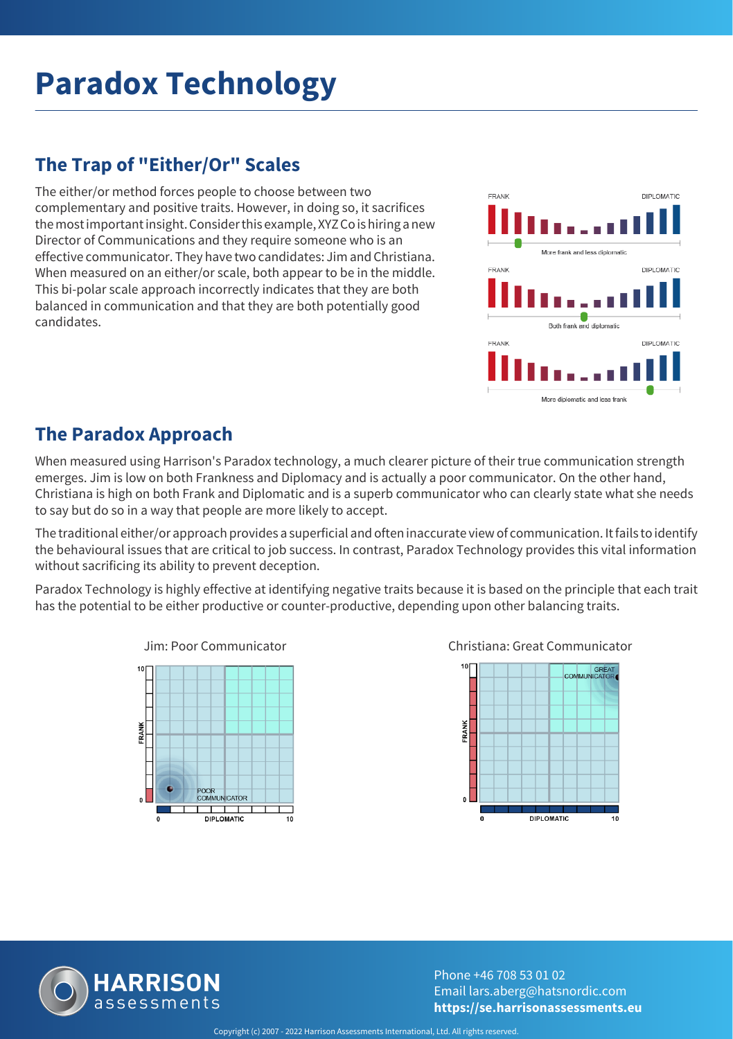# **Paradox Technology**

### **The Trap of "Either/Or" Scales**

The either/or method forces people to choose between two complementary and positive traits. However, in doing so, it sacrifices the most important insight. Consider this example, XYZ Co is hiring a new Director of Communications and they require someone who is an effective communicator. They have two candidates: Jim and Christiana. When measured on an either/or scale, both appear to be in the middle. This bi-polar scale approach incorrectly indicates that they are both balanced in communication and that they are both potentially good candidates.



### **The Paradox Approach**

When measured using Harrison's Paradox technology, a much clearer picture of their true communication strength emerges. Jim is low on both Frankness and Diplomacy and is actually a poor communicator. On the other hand, Christiana is high on both Frank and Diplomatic and is a superb communicator who can clearly state what she needs to say but do so in a way that people are more likely to accept.

The traditional either/or approach provides a superficial and often inaccurate view of communication. It fails to identify the behavioural issues that are critical to job success. In contrast, Paradox Technology provides this vital information without sacrificing its ability to prevent deception.

Paradox Technology is highly effective at identifying negative traits because it is based on the principle that each trait has the potential to be either productive or counter-productive, depending upon other balancing traits.



Jim: Poor Communicator Christiana: Great Communicator





Phone +46 708 53 01 02 Email lars.aberg@hatsnordic.com **https://se.harrisonassessments.eu**